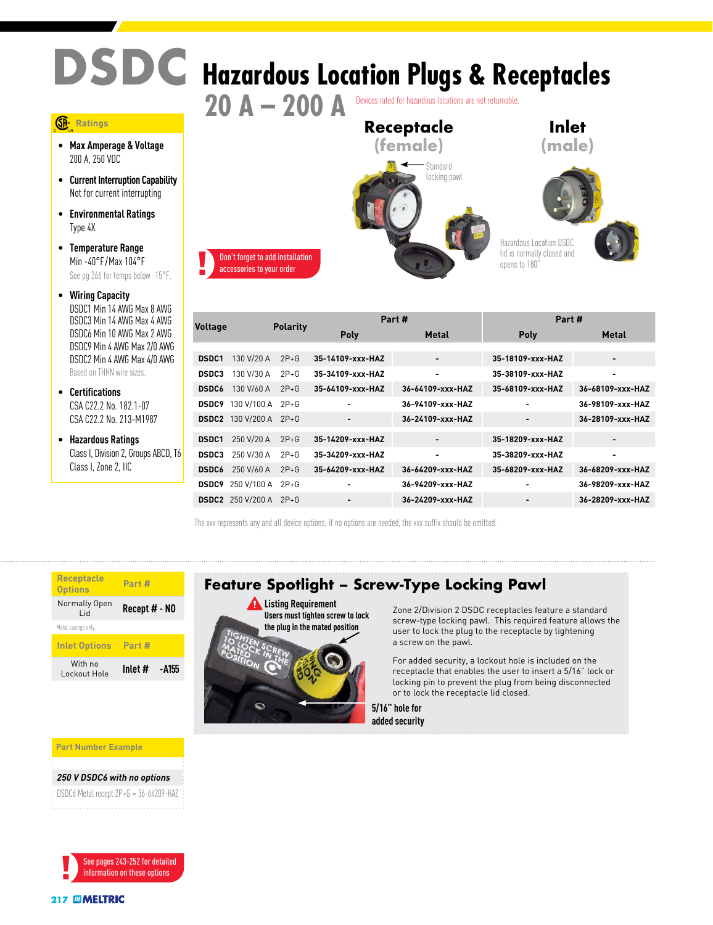## **DSDC Hazardous Location Plugs & Receptacles 20 A – 200 A** Devices rated for hazardous locations are not returnable.

## **Ratings**

- **Max Amperage & Voltage** 200 A, 250 VDC
- **Current Interruption Capability** Not for current interrupting
- **Environmental Ratings** Type 4X
- **Temperature Range** Min -40°F /Max 104°F See pg 266 for temps below -15°F.
- **Wiring Capacity** DSDC1 Min 14 AWG Max 8 AWG DSDC3 Min 14 AWG Max 4 AWG DSDC6 Min 10 AWG Max 2 AWG DSDC9 Min 4 AWG Max 2/0 AWG DSDC2 Min 4 AWG Max 4/0 AWGBased on THHN wire sizes.
- **Certifications** CSA C22.2 No. 182.1-07 CSA C22.2 No. 213-M1987
- **Hazardous Ratings** Class I, Division 2, Groups ABCD, T6 Class I, Zone 2, IIC



|                |                          |                 |                          | Part #                   | Part #                   |                          |  |  |
|----------------|--------------------------|-----------------|--------------------------|--------------------------|--------------------------|--------------------------|--|--|
| <b>Voltage</b> |                          | <b>Polarity</b> | <b>Poly</b>              | <b>Metal</b>             | Poly                     | <b>Metal</b>             |  |  |
|                |                          |                 |                          |                          |                          |                          |  |  |
| <b>DSDC1</b>   | 130 V/20 A               | $2P+G$          | 35-14109-xxx-HAZ         | $\overline{\phantom{0}}$ | 35-18109-xxx-HAZ         | $\overline{\phantom{a}}$ |  |  |
| <b>DSDC3</b>   | 130 V/30 A               | $2P+G$          | 35-34109-xxx-HAZ         |                          | 35-38109-xxx-HAZ         | ۰                        |  |  |
| <b>DSDC6</b>   | 130 V/60 A               | $2P+G$          | 35-64109-xxx-HAZ         | 36-64109-xxx-HAZ         | 35-68109-xxx-HAZ         | 36-68109-xxx-HAZ         |  |  |
| <b>DSDC9</b>   | 130 V/100 A              | $2P+G$          | ۰                        | 36-94109-xxx-HAZ         | $\overline{\phantom{0}}$ | 36-98109-xxx-HAZ         |  |  |
| <b>DSDC2</b>   | 130 V/200 A              | $2P+G$          | $\overline{\phantom{0}}$ | 36-24109-xxx-HAZ         | $\blacksquare$           | 36-28109-xxx-HAZ         |  |  |
| <b>DSDC1</b>   | 250 V/20 A               | $2P+G$          | 35-14209-xxx-HAZ         |                          | 35-18209-xxx-HAZ         | -                        |  |  |
| <b>DSDC3</b>   | 250 V/30 A               | $2P+G$          | 35-34209-xxx-HAZ         | ۰                        | 35-38209-xxx-HAZ         | ۰                        |  |  |
| <b>DSDC6</b>   | 250 V/60 A               | $2P+G$          | 35-64209-xxx-HAZ         | 36-64209-xxx-HAZ         | 35-68209-xxx-HAZ         | 36-68209-xxx-HAZ         |  |  |
| <b>DSDC9</b>   | 250 V/100 A              | $2P+G$          |                          | 36-94209-xxx-HAZ         | ٠                        | 36-98209-xxx-HAZ         |  |  |
|                | <b>DSDC2</b> 250 V/200 A | $2P + G$        |                          | 36-24209-xxx-HAZ         |                          | 36-28209-xxx-HAZ         |  |  |

The xxx represents any and all device options; if no options are needed, the xxx suffix should be omitted.

**Users must tighten screw to lock the plug in the mated position**

WARE COMPANY **DANGER CAUTION** 

**NOTICE** 

| <b>Receptacle</b><br><b>Options</b> | Part #           |  |  |  |  |
|-------------------------------------|------------------|--|--|--|--|
| Normally Open<br>hi I               | Recept # - NO    |  |  |  |  |
| Metal casings only.                 |                  |  |  |  |  |
| <b>Inlet Options</b>                | Part #           |  |  |  |  |
| With no<br>Lockout Hole             | Inlet #<br>-4155 |  |  |  |  |



Zone 2/Division 2 DSDC receptacles feature a standard screw-type locking pawl. This required feature allows the user to lock the plug to the receptacle by tightening a screw on the pawl.

For added security, a lockout hole is included on the receptacle that enables the user to insert a 5/16" lock or locking pin to prevent the plug from being disconnected or to lock the receptacle lid closed.

**5/16" hole for added security**

**Part Number Example**

## *250 V DSDC6 with no options*

DSDC6 Metal recept 2P+G = 36-64209-HAZ